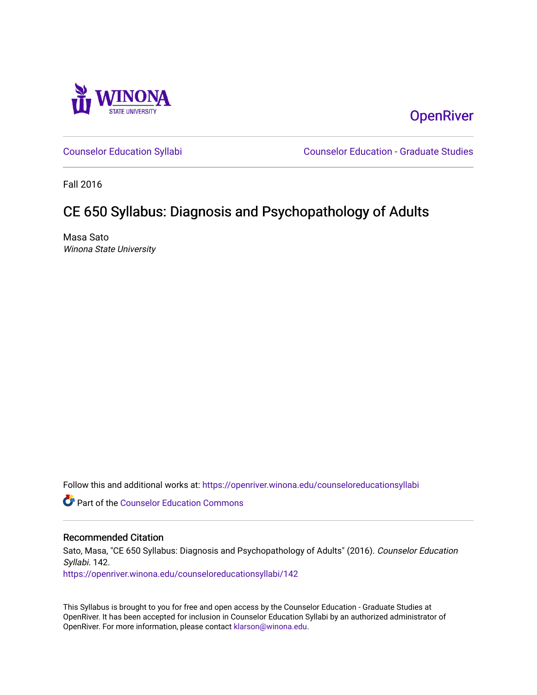

**OpenRiver** 

[Counselor Education Syllabi](https://openriver.winona.edu/counseloreducationsyllabi) [Counselor Education - Graduate Studies](https://openriver.winona.edu/counseloreducation) 

Fall 2016

# CE 650 Syllabus: Diagnosis and Psychopathology of Adults

Masa Sato Winona State University

Follow this and additional works at: [https://openriver.winona.edu/counseloreducationsyllabi](https://openriver.winona.edu/counseloreducationsyllabi?utm_source=openriver.winona.edu%2Fcounseloreducationsyllabi%2F142&utm_medium=PDF&utm_campaign=PDFCoverPages)

Part of the [Counselor Education Commons](http://network.bepress.com/hgg/discipline/1278?utm_source=openriver.winona.edu%2Fcounseloreducationsyllabi%2F142&utm_medium=PDF&utm_campaign=PDFCoverPages) 

## Recommended Citation

Sato, Masa, "CE 650 Syllabus: Diagnosis and Psychopathology of Adults" (2016). Counselor Education Syllabi. 142.

[https://openriver.winona.edu/counseloreducationsyllabi/142](https://openriver.winona.edu/counseloreducationsyllabi/142?utm_source=openriver.winona.edu%2Fcounseloreducationsyllabi%2F142&utm_medium=PDF&utm_campaign=PDFCoverPages)

This Syllabus is brought to you for free and open access by the Counselor Education - Graduate Studies at OpenRiver. It has been accepted for inclusion in Counselor Education Syllabi by an authorized administrator of OpenRiver. For more information, please contact [klarson@winona.edu](mailto:klarson@winona.edu).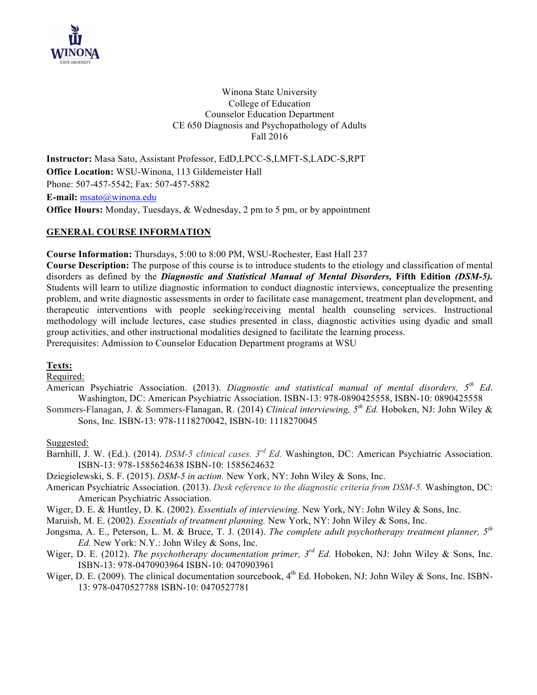

Winona State University College of Education Counselor Education Department CE 650 Diagnosis and Psychopathology of Adults Fall 2016

**Instructor:** Masa Sato, Assistant Professor, EdD,LPCC-S,LMFT-S,LADC-S,RPT **Office Location:** WSU-Winona, 113 Gildemeister Hall Phone: 507-457-5542; Fax: 507-457-5882 **E-mail:** msato@winona.edu **Office Hours:** Monday, Tuesdays, & Wednesday, 2 pm to 5 pm, or by appointment

# **GENERAL COURSE INFORMATION**

**Course Information:** Thursdays, 5:00 to 8:00 PM, WSU-Rochester, East Hall 237

**Course Description:** The purpose of this course is to introduce students to the etiology and classification of mental disorders as defined by the *Diagnostic and Statistical Manual of Mental Disorders,* **Fifth Edition** *(DSM-5).* Students will learn to utilize diagnostic information to conduct diagnostic interviews, conceptualize the presenting problem, and write diagnostic assessments in order to facilitate case management, treatment plan development, and therapeutic interventions with people seeking/receiving mental health counseling services. Instructional methodology will include lectures, case studies presented in class, diagnostic activities using dyadic and small group activities, and other instructional modalities designed to facilitate the learning process. Prerequisites: Admission to Counselor Education Department programs at WSU

## **Texts:**

Required:

American Psychiatric Association. (2013). *Diagnostic and statistical manual of mental disorders, 5th Ed*. Washington, DC: American Psychiatric Association. ISBN-13: 978-0890425558, ISBN-10: 0890425558

Sommers-Flanagan, J. & Sommers-Flanagan, R. (2014) *Clinical interviewing, 5th Ed.* Hoboken, NJ: John Wiley & Sons, Inc. ISBN-13: 978-1118270042, ISBN-10: 1118270045

Suggested:

Barnhill, J. W. (Ed.). (2014). *DSM-5 clinical cases. 3rd Ed.* Washington, DC: American Psychiatric Association. ISBN-13: 978-1585624638 ISBN-10: 1585624632

Dziegielewski, S. F. (2015). *DSM-5 in action.* New York, NY: John Wiley & Sons, Inc.

- American Psychiatric Association. (2013). *Desk reference to the diagnostic criteria from DSM-5.* Washington, DC: American Psychiatric Association.
- Wiger, D. E. & Huntley, D. K. (2002). *Essentials of interviewing.* New York, NY: John Wiley & Sons, Inc.
- Maruish, M. E. (2002). *Essentials of treatment planning.* New York, NY: John Wiley & Sons, Inc.
- Jongsma, A. E., Peterson, L. M. & Bruce, T. J. (2014). *The complete adult psychotherapy treatment planner, 5th Ed.* New York: N.Y.: John Wiley & Sons, Inc.
- Wiger, D. E. (2012). *The psychotherapy documentation primer, 3rd Ed.* Hoboken, NJ: John Wiley & Sons, Inc. ISBN-13: 978-0470903964 ISBN-10: 0470903961
- Wiger, D. E. (2009). The clinical documentation sourcebook,  $4<sup>th</sup>$  Ed. Hoboken, NJ: John Wiley & Sons, Inc. ISBN-13: 978-0470527788 ISBN-10: 0470527781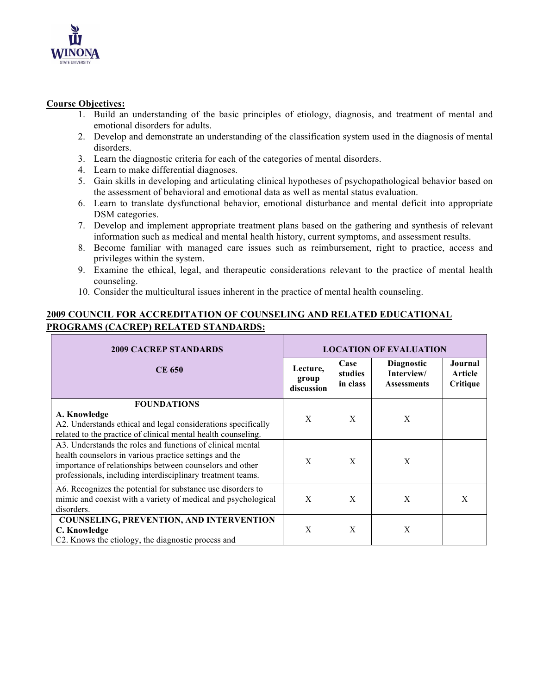

# **Course Objectives:**

- 1. Build an understanding of the basic principles of etiology, diagnosis, and treatment of mental and emotional disorders for adults.
- 2. Develop and demonstrate an understanding of the classification system used in the diagnosis of mental disorders.
- 3. Learn the diagnostic criteria for each of the categories of mental disorders.
- 4. Learn to make differential diagnoses.
- 5. Gain skills in developing and articulating clinical hypotheses of psychopathological behavior based on the assessment of behavioral and emotional data as well as mental status evaluation.
- 6. Learn to translate dysfunctional behavior, emotional disturbance and mental deficit into appropriate DSM categories.
- 7. Develop and implement appropriate treatment plans based on the gathering and synthesis of relevant information such as medical and mental health history, current symptoms, and assessment results.
- 8. Become familiar with managed care issues such as reimbursement, right to practice, access and privileges within the system.
- 9. Examine the ethical, legal, and therapeutic considerations relevant to the practice of mental health counseling.
- 10. Consider the multicultural issues inherent in the practice of mental health counseling.

# **2009 COUNCIL FOR ACCREDITATION OF COUNSELING AND RELATED EDUCATIONAL PROGRAMS (CACREP) RELATED STANDARDS:**

| <b>2009 CACREP STANDARDS</b>                                                                                                   | <b>LOCATION OF EVALUATION</b>   |                             |                                                       |                                |
|--------------------------------------------------------------------------------------------------------------------------------|---------------------------------|-----------------------------|-------------------------------------------------------|--------------------------------|
| <b>CE 650</b>                                                                                                                  | Lecture,<br>group<br>discussion | Case<br>studies<br>in class | <b>Diagnostic</b><br>Interview/<br><b>Assessments</b> | Journal<br>Article<br>Critique |
| <b>FOUNDATIONS</b>                                                                                                             |                                 |                             |                                                       |                                |
| A. Knowledge                                                                                                                   | X                               | X                           | X                                                     |                                |
| A2. Understands ethical and legal considerations specifically<br>related to the practice of clinical mental health counseling. |                                 |                             |                                                       |                                |
| A3. Understands the roles and functions of clinical mental                                                                     |                                 |                             |                                                       |                                |
| health counselors in various practice settings and the                                                                         | X                               | X                           | X                                                     |                                |
| importance of relationships between counselors and other                                                                       |                                 |                             |                                                       |                                |
| professionals, including interdisciplinary treatment teams.                                                                    |                                 |                             |                                                       |                                |
| A6. Recognizes the potential for substance use disorders to                                                                    |                                 |                             |                                                       |                                |
| mimic and coexist with a variety of medical and psychological                                                                  | X                               | X                           | X                                                     | X                              |
| disorders.                                                                                                                     |                                 |                             |                                                       |                                |
| <b>COUNSELING, PREVENTION, AND INTERVENTION</b>                                                                                |                                 | X                           | X                                                     |                                |
| C. Knowledge<br>C2. Knows the etiology, the diagnostic process and                                                             | X                               |                             |                                                       |                                |
|                                                                                                                                |                                 |                             |                                                       |                                |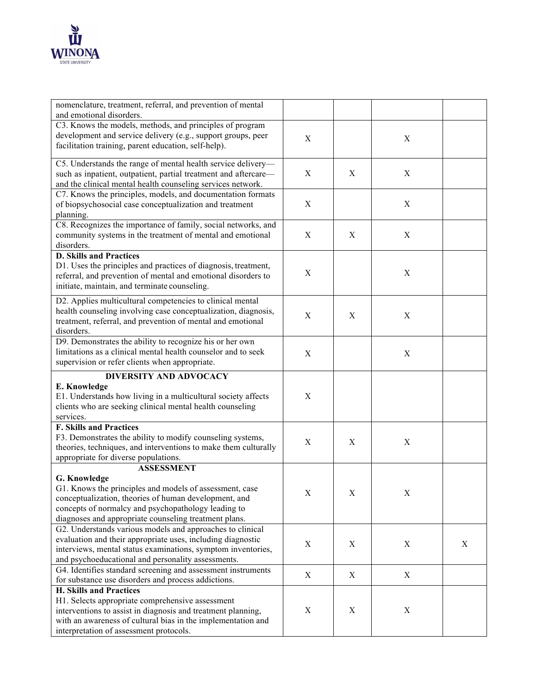

| nomenclature, treatment, referral, and prevention of mental                                                    |             |             |                           |   |
|----------------------------------------------------------------------------------------------------------------|-------------|-------------|---------------------------|---|
| and emotional disorders.                                                                                       |             |             |                           |   |
| C3. Knows the models, methods, and principles of program                                                       |             |             |                           |   |
| development and service delivery (e.g., support groups, peer                                                   | $\mathbf X$ |             | X                         |   |
| facilitation training, parent education, self-help).                                                           |             |             |                           |   |
|                                                                                                                |             |             |                           |   |
| C5. Understands the range of mental health service delivery-                                                   |             |             |                           |   |
| such as inpatient, outpatient, partial treatment and aftercare-                                                | $\mathbf X$ | X           | X                         |   |
| and the clinical mental health counseling services network.                                                    |             |             |                           |   |
| C7. Knows the principles, models, and documentation formats                                                    |             |             | $\mathbf X$               |   |
| of biopsychosocial case conceptualization and treatment                                                        | X           |             |                           |   |
| planning.<br>C8. Recognizes the importance of family, social networks, and                                     |             |             |                           |   |
|                                                                                                                |             |             |                           |   |
| community systems in the treatment of mental and emotional                                                     | X           | X           | X                         |   |
| disorders.<br><b>D. Skills and Practices</b>                                                                   |             |             |                           |   |
| D1. Uses the principles and practices of diagnosis, treatment,                                                 |             |             |                           |   |
|                                                                                                                | $\mathbf X$ |             | $\boldsymbol{\mathrm{X}}$ |   |
| referral, and prevention of mental and emotional disorders to<br>initiate, maintain, and terminate counseling. |             |             |                           |   |
|                                                                                                                |             |             |                           |   |
| D2. Applies multicultural competencies to clinical mental                                                      |             |             |                           |   |
| health counseling involving case conceptualization, diagnosis,                                                 | $\mathbf X$ | X           | X                         |   |
| treatment, referral, and prevention of mental and emotional                                                    |             |             |                           |   |
| disorders.                                                                                                     |             |             |                           |   |
| D9. Demonstrates the ability to recognize his or her own                                                       |             |             |                           |   |
| limitations as a clinical mental health counselor and to seek                                                  | $\mathbf X$ |             | $\mathbf X$               |   |
| supervision or refer clients when appropriate.                                                                 |             |             |                           |   |
| <b>DIVERSITY AND ADVOCACY</b>                                                                                  |             |             |                           |   |
|                                                                                                                |             |             |                           |   |
| E. Knowledge                                                                                                   |             |             |                           |   |
| E1. Understands how living in a multicultural society affects                                                  | $\mathbf X$ |             |                           |   |
| clients who are seeking clinical mental health counseling                                                      |             |             |                           |   |
| services.                                                                                                      |             |             |                           |   |
| <b>F. Skills and Practices</b>                                                                                 |             |             |                           |   |
| F3. Demonstrates the ability to modify counseling systems,                                                     |             |             |                           |   |
| theories, techniques, and interventions to make them culturally                                                | $\mathbf X$ | X           | X                         |   |
| appropriate for diverse populations.                                                                           |             |             |                           |   |
| <b>ASSESSMENT</b>                                                                                              |             |             |                           |   |
| G. Knowledge                                                                                                   |             |             |                           |   |
| G1. Knows the principles and models of assessment, case                                                        |             |             |                           |   |
| conceptualization, theories of human development, and                                                          | Χ           | Χ           | X                         |   |
| concepts of normalcy and psychopathology leading to                                                            |             |             |                           |   |
| diagnoses and appropriate counseling treatment plans.                                                          |             |             |                           |   |
| G2. Understands various models and approaches to clinical                                                      |             |             |                           |   |
| evaluation and their appropriate uses, including diagnostic                                                    |             |             |                           |   |
| interviews, mental status examinations, symptom inventories,                                                   | $\mathbf X$ | $\mathbf X$ | $\mathbf X$               | X |
| and psychoeducational and personality assessments.                                                             |             |             |                           |   |
| G4. Identifies standard screening and assessment instruments                                                   |             |             |                           |   |
| for substance use disorders and process addictions.                                                            | X           | X           | $\mathbf X$               |   |
| <b>H. Skills and Practices</b>                                                                                 |             |             |                           |   |
| H1. Selects appropriate comprehensive assessment                                                               |             |             |                           |   |
| interventions to assist in diagnosis and treatment planning,                                                   | $\mathbf X$ | $\mathbf X$ | $\mathbf X$               |   |
| with an awareness of cultural bias in the implementation and<br>interpretation of assessment protocols.        |             |             |                           |   |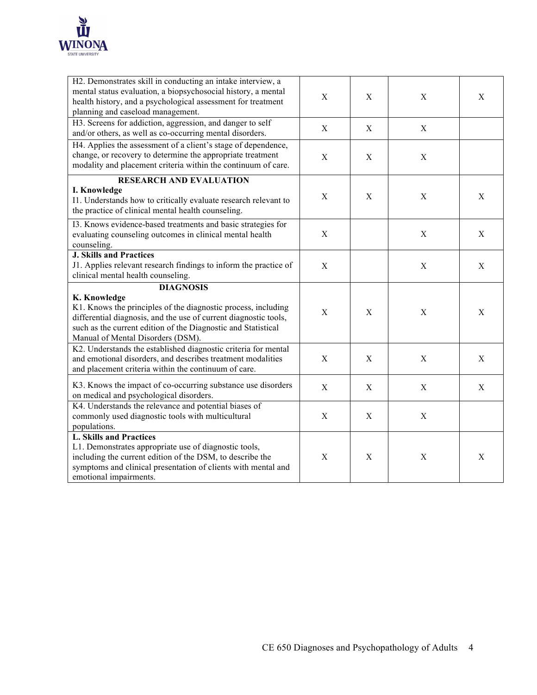

| H2. Demonstrates skill in conducting an intake interview, a<br>mental status evaluation, a biopsychosocial history, a mental<br>health history, and a psychological assessment for treatment<br>planning and caseload management.                                           | $\mathbf X$ | $\mathbf X$ | X           | X           |
|-----------------------------------------------------------------------------------------------------------------------------------------------------------------------------------------------------------------------------------------------------------------------------|-------------|-------------|-------------|-------------|
| H3. Screens for addiction, aggression, and danger to self<br>and/or others, as well as co-occurring mental disorders.                                                                                                                                                       | X           | $\mathbf X$ | $\mathbf X$ |             |
| H4. Applies the assessment of a client's stage of dependence,<br>change, or recovery to determine the appropriate treatment<br>modality and placement criteria within the continuum of care.                                                                                | X           | $\mathbf X$ | X           |             |
| <b>RESEARCH AND EVALUATION</b><br>I. Knowledge<br>I1. Understands how to critically evaluate research relevant to<br>the practice of clinical mental health counseling.                                                                                                     | $\mathbf X$ | $\mathbf X$ | $\mathbf X$ | X           |
| I3. Knows evidence-based treatments and basic strategies for<br>evaluating counseling outcomes in clinical mental health<br>counseling.                                                                                                                                     | X           |             | $\mathbf X$ | $\mathbf X$ |
| <b>J. Skills and Practices</b><br>J1. Applies relevant research findings to inform the practice of<br>clinical mental health counseling.                                                                                                                                    | X           |             | X           | X           |
| <b>DIAGNOSIS</b><br>K. Knowledge<br>K1. Knows the principles of the diagnostic process, including<br>differential diagnosis, and the use of current diagnostic tools,<br>such as the current edition of the Diagnostic and Statistical<br>Manual of Mental Disorders (DSM). | $\mathbf X$ | $\mathbf X$ | $\mathbf X$ | X           |
| K2. Understands the established diagnostic criteria for mental<br>and emotional disorders, and describes treatment modalities<br>and placement criteria within the continuum of care.                                                                                       | X           | $\mathbf X$ | $\mathbf X$ | $\mathbf X$ |
| K3. Knows the impact of co-occurring substance use disorders<br>on medical and psychological disorders.                                                                                                                                                                     | X           | X           | $\mathbf X$ | X           |
| K4. Understands the relevance and potential biases of<br>commonly used diagnostic tools with multicultural<br>populations.                                                                                                                                                  | X           | X           | $\mathbf X$ |             |
| <b>L. Skills and Practices</b><br>L1. Demonstrates appropriate use of diagnostic tools,<br>including the current edition of the DSM, to describe the<br>symptoms and clinical presentation of clients with mental and<br>emotional impairments.                             | X           | $\mathbf X$ | X           | X           |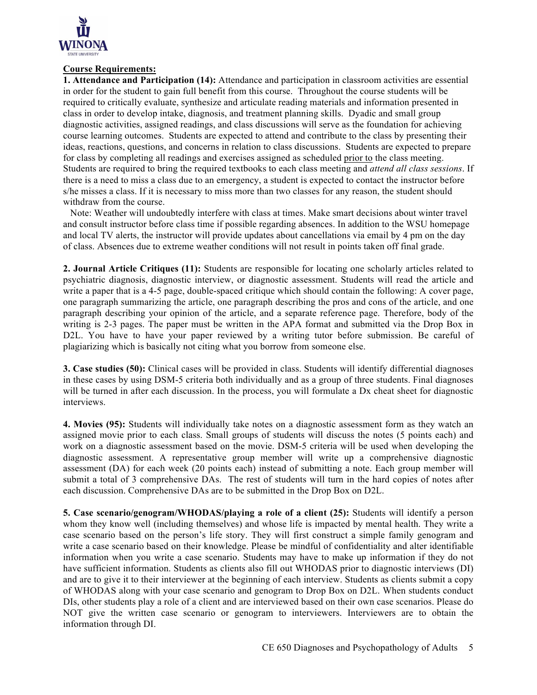

#### **Course Requirements:**

**1. Attendance and Participation (14):** Attendance and participation in classroom activities are essential in order for the student to gain full benefit from this course. Throughout the course students will be required to critically evaluate, synthesize and articulate reading materials and information presented in class in order to develop intake, diagnosis, and treatment planning skills. Dyadic and small group diagnostic activities, assigned readings, and class discussions will serve as the foundation for achieving course learning outcomes. Students are expected to attend and contribute to the class by presenting their ideas, reactions, questions, and concerns in relation to class discussions. Students are expected to prepare for class by completing all readings and exercises assigned as scheduled prior to the class meeting. Students are required to bring the required textbooks to each class meeting and *attend all class sessions*. If there is a need to miss a class due to an emergency, a student is expected to contact the instructor before s/he misses a class. If it is necessary to miss more than two classes for any reason, the student should withdraw from the course.

 Note: Weather will undoubtedly interfere with class at times. Make smart decisions about winter travel and consult instructor before class time if possible regarding absences. In addition to the WSU homepage and local TV alerts, the instructor will provide updates about cancellations via email by 4 pm on the day of class. Absences due to extreme weather conditions will not result in points taken off final grade.

**2. Journal Article Critiques (11):** Students are responsible for locating one scholarly articles related to psychiatric diagnosis, diagnostic interview, or diagnostic assessment. Students will read the article and write a paper that is a 4-5 page, double-spaced critique which should contain the following: A cover page, one paragraph summarizing the article, one paragraph describing the pros and cons of the article, and one paragraph describing your opinion of the article, and a separate reference page. Therefore, body of the writing is 2-3 pages. The paper must be written in the APA format and submitted via the Drop Box in D2L. You have to have your paper reviewed by a writing tutor before submission. Be careful of plagiarizing which is basically not citing what you borrow from someone else.

**3. Case studies (50):** Clinical cases will be provided in class. Students will identify differential diagnoses in these cases by using DSM-5 criteria both individually and as a group of three students. Final diagnoses will be turned in after each discussion. In the process, you will formulate a Dx cheat sheet for diagnostic interviews.

**4. Movies (95):** Students will individually take notes on a diagnostic assessment form as they watch an assigned movie prior to each class. Small groups of students will discuss the notes (5 points each) and work on a diagnostic assessment based on the movie. DSM-5 criteria will be used when developing the diagnostic assessment. A representative group member will write up a comprehensive diagnostic assessment (DA) for each week (20 points each) instead of submitting a note. Each group member will submit a total of 3 comprehensive DAs. The rest of students will turn in the hard copies of notes after each discussion. Comprehensive DAs are to be submitted in the Drop Box on D2L.

**5. Case scenario/genogram/WHODAS/playing a role of a client (25):** Students will identify a person whom they know well (including themselves) and whose life is impacted by mental health. They write a case scenario based on the person's life story. They will first construct a simple family genogram and write a case scenario based on their knowledge. Please be mindful of confidentiality and alter identifiable information when you write a case scenario. Students may have to make up information if they do not have sufficient information. Students as clients also fill out WHODAS prior to diagnostic interviews (DI) and are to give it to their interviewer at the beginning of each interview. Students as clients submit a copy of WHODAS along with your case scenario and genogram to Drop Box on D2L. When students conduct DIs, other students play a role of a client and are interviewed based on their own case scenarios. Please do NOT give the written case scenario or genogram to interviewers. Interviewers are to obtain the information through DI.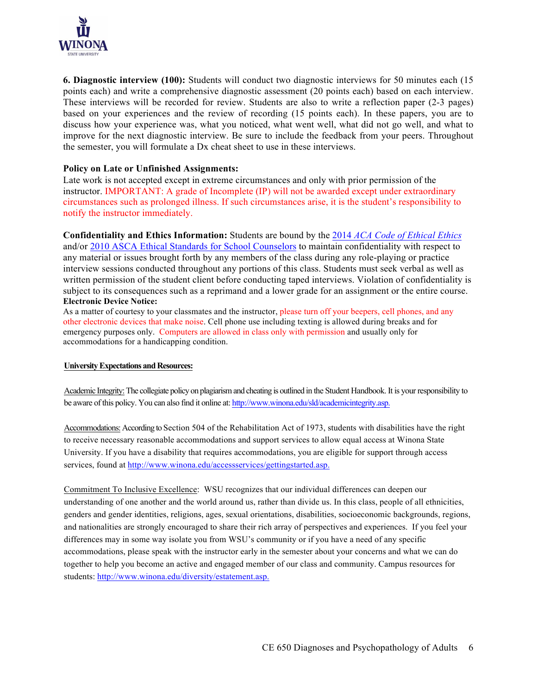

**6. Diagnostic interview (100):** Students will conduct two diagnostic interviews for 50 minutes each (15 points each) and write a comprehensive diagnostic assessment (20 points each) based on each interview. These interviews will be recorded for review. Students are also to write a reflection paper (2-3 pages) based on your experiences and the review of recording (15 points each). In these papers, you are to discuss how your experience was, what you noticed, what went well, what did not go well, and what to improve for the next diagnostic interview. Be sure to include the feedback from your peers. Throughout the semester, you will formulate a Dx cheat sheet to use in these interviews.

## **Policy on Late or Unfinished Assignments:**

Late work is not accepted except in extreme circumstances and only with prior permission of the instructor. IMPORTANT: A grade of Incomplete (IP) will not be awarded except under extraordinary circumstances such as prolonged illness. If such circumstances arise, it is the student's responsibility to notify the instructor immediately.

**Confidentiality and Ethics Information:** Students are bound by the 2014 *ACA Code of Ethical Ethics* and/or 2010 ASCA Ethical Standards for School Counselors to maintain confidentiality with respect to any material or issues brought forth by any members of the class during any role-playing or practice interview sessions conducted throughout any portions of this class. Students must seek verbal as well as written permission of the student client before conducting taped interviews. Violation of confidentiality is subject to its consequences such as a reprimand and a lower grade for an assignment or the entire course. **Electronic Device Notice:**

As a matter of courtesy to your classmates and the instructor, please turn off your beepers, cell phones, and any other electronic devices that make noise. Cell phone use including texting is allowed during breaks and for emergency purposes only. Computers are allowed in class only with permission and usually only for accommodations for a handicapping condition.

#### **University Expectations and Resources:**

Academic Integrity:The collegiate policy on plagiarism and cheating is outlined in the Student Handbook. It is your responsibility to be aware of this policy. You can also find it online at: http://www.winona.edu/sld/academicintegrity.asp.

Accommodations: According to Section 504 of the Rehabilitation Act of 1973, students with disabilities have the right to receive necessary reasonable accommodations and support services to allow equal access at Winona State University. If you have a disability that requires accommodations, you are eligible for support through access services, found at http://www.winona.edu/accessservices/gettingstarted.asp.

Commitment To Inclusive Excellence: WSU recognizes that our individual differences can deepen our understanding of one another and the world around us, rather than divide us. In this class, people of all ethnicities, genders and gender identities, religions, ages, sexual orientations, disabilities, socioeconomic backgrounds, regions, and nationalities are strongly encouraged to share their rich array of perspectives and experiences. If you feel your differences may in some way isolate you from WSU's community or if you have a need of any specific accommodations, please speak with the instructor early in the semester about your concerns and what we can do together to help you become an active and engaged member of our class and community. Campus resources for students: http://www.winona.edu/diversity/estatement.asp.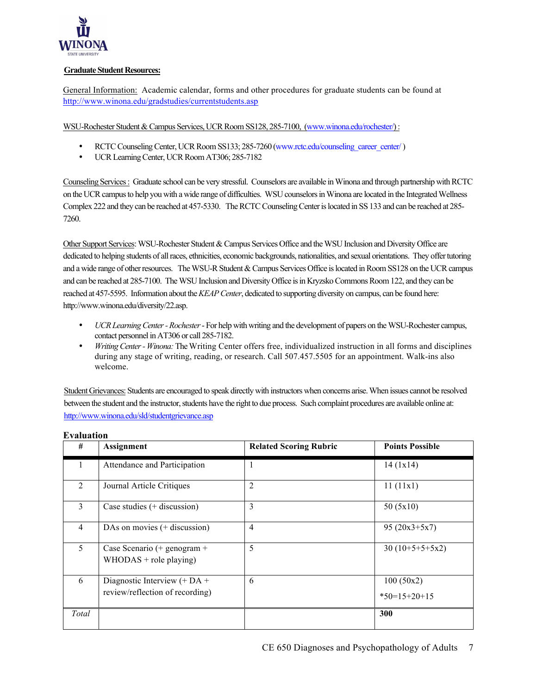

#### **Graduate Student Resources:**

General Information: Academic calendar, forms and other procedures for graduate students can be found at http://www.winona.edu/gradstudies/currentstudents.asp

WSU-Rochester Student & Campus Services, UCR Room SS128, 285-7100, (www.winona.edu/rochester/) :

- RCTC Counseling Center, UCR Room SS133; 285-7260 (www.rctc.edu/counseling\_career\_center/)
- UCR Learning Center, UCR Room AT306; 285-7182

Counseling Services : Graduate school can be very stressful. Counselors are available in Winona and through partnership with RCTC on the UCR campus to help you with a wide range of difficulties. WSU counselors in Winona are located in the Integrated Wellness Complex 222 and they can be reached at 457-5330. The RCTC Counseling Center is located in SS 133 and can be reached at 285- 7260.

Other Support Services: WSU-Rochester Student & Campus Services Office and the WSU Inclusion and Diversity Office are dedicated to helping students of all races, ethnicities, economic backgrounds, nationalities, and sexual orientations. They offer tutoring and a wide range of other resources. The WSU-R Student & Campus Services Office is located in Room SS128 on the UCR campus and can be reached at 285-7100. The WSU Inclusion and Diversity Office is in Kryzsko Commons Room 122, and they can be reached at 457-5595. Information about the *KEAP Center*, dedicated to supporting diversity on campus, can be found here: http://www.winona.edu/diversity/22.asp.

- *UCR Learning Center -Rochester* For help with writing and the development of papers on the WSU-Rochester campus, contact personnel in AT306 or call 285-7182.
- *Writing Center - Winona:*The Writing Center offers free, individualized instruction in all forms and disciplines during any stage of writing, reading, or research. Call 507.457.5505 for an appointment. Walk-ins also welcome.

Student Grievances: Students are encouraged to speak directly with instructors when concerns arise. When issues cannot be resolved between the student and the instructor, students have the right to due process. Such complaint procedures are available online at: http://www.winona.edu/sld/studentgrievance.asp

| #              | Assignment                                                        | <b>Related Scoring Rubric</b> | <b>Points Possible</b>      |
|----------------|-------------------------------------------------------------------|-------------------------------|-----------------------------|
| 1              | Attendance and Participation                                      | 1                             | 14(1x14)                    |
| $\overline{2}$ | Journal Article Critiques                                         | $\overline{2}$                | 11(11x1)                    |
| 3              | Case studies $(+$ discussion)                                     | 3                             | 50(5x10)                    |
| $\overline{4}$ | DAs on movies $(+$ discussion)                                    | $\overline{4}$                | $95(20x3+5x7)$              |
| 5              | Case Scenario (+ genogram +<br>$WHODAS + role playing)$           | 5                             | $30(10+5+5+5x2)$            |
| 6              | Diagnostic Interview $(+ DA +$<br>review/reflection of recording) | 6                             | 100(50x2)<br>$*50=15+20+15$ |
| Total          |                                                                   |                               | 300                         |

**Evaluation**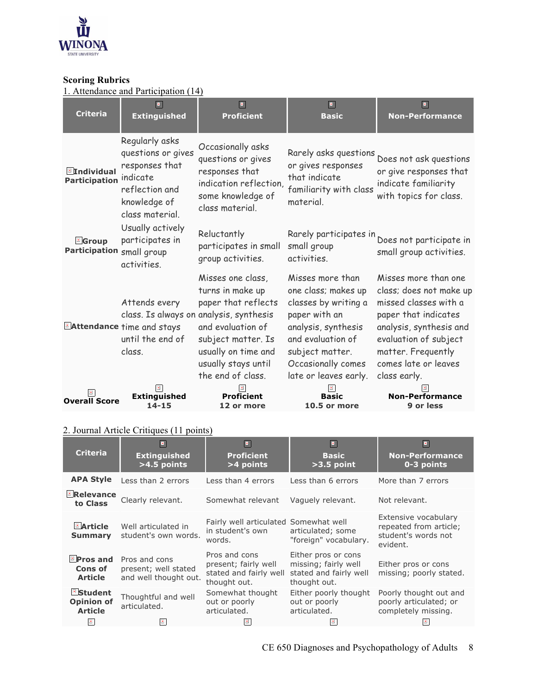

## **Scoring Rubrics**

1. Attendance and Participation (14)

| <b>Criteria</b>                             | $\blacksquare$<br><b>Extinguished</b>                                                                                   | $\blacksquare$<br><b>Proficient</b>                                                                                                                                                                                   | $\blacksquare$<br><b>Basic</b>                                                                                                                                                                 | $\blacksquare$<br><b>Non-Performance</b>                                                                                                                                                                           |
|---------------------------------------------|-------------------------------------------------------------------------------------------------------------------------|-----------------------------------------------------------------------------------------------------------------------------------------------------------------------------------------------------------------------|------------------------------------------------------------------------------------------------------------------------------------------------------------------------------------------------|--------------------------------------------------------------------------------------------------------------------------------------------------------------------------------------------------------------------|
| <b>E</b> Individual<br><b>Participation</b> | Regularly asks<br>questions or gives<br>responses that<br>indicate<br>reflection and<br>knowledge of<br>class material. | Occasionally asks<br>questions or gives<br>responses that<br>indication reflection,<br>some knowledge of<br>class material.                                                                                           | Rarely asks questions<br>or gives responses<br>that indicate<br>familiarity with class<br>material.                                                                                            | Does not ask questions<br>or give responses that<br>indicate familiarity<br>with topics for class.                                                                                                                 |
| <b>E</b> Group<br><b>Participation</b>      | Usually actively<br>participates in<br>small group<br>activities.                                                       | Reluctantly<br>participates in small<br>group activities.                                                                                                                                                             | Rarely participates in<br>small group<br>activities.                                                                                                                                           | Does not participate in<br>small group activities.                                                                                                                                                                 |
|                                             | Attends every<br>Attendance time and stays<br>until the end of<br>class.                                                | Misses one class,<br>turns in make up<br>paper that reflects<br>class. Is always on analysis, synthesis<br>and evaluation of<br>subject matter. Is<br>usually on time and<br>usually stays until<br>the end of class. | Misses more than<br>one class; makes up<br>classes by writing a<br>paper with an<br>analysis, synthesis<br>and evaluation of<br>subject matter.<br>Occasionally comes<br>late or leaves early. | Misses more than one<br>class; does not make up<br>missed classes with a<br>paper that indicates<br>analysis, synthesis and<br>evaluation of subject<br>matter. Frequently<br>comes late or leaves<br>class early. |
| <b>Overall Score</b>                        | <b>Extinguished</b><br>$14 - 15$                                                                                        | <b>Proficient</b><br>12 or more                                                                                                                                                                                       | <b>Basic</b><br>10.5 or more                                                                                                                                                                   | <b>Non-Performance</b><br>9 or less                                                                                                                                                                                |

# 2. Journal Article Critiques (11 points)

| <b>Criteria</b>                                       | 回<br><b>Extinguished</b><br>>4.5 points                        | $\blacksquare$<br><b>Proficient</b><br>>4 points                                | 回<br><b>Basic</b><br>$>3.5$ point                                                     | $\vert \mathbf{x} \vert$<br><b>Non-Performance</b><br>0-3 points                  |
|-------------------------------------------------------|----------------------------------------------------------------|---------------------------------------------------------------------------------|---------------------------------------------------------------------------------------|-----------------------------------------------------------------------------------|
| <b>APA Style</b>                                      | Less than 2 errors                                             | Less than 4 errors                                                              | Less than 6 errors                                                                    | More than 7 errors                                                                |
| <b>E</b> Relevance<br>to Class                        | Clearly relevant.                                              | Somewhat relevant                                                               | Vaguely relevant.                                                                     | Not relevant.                                                                     |
| <b>Article</b><br><b>Summary</b>                      | Well articulated in<br>student's own words.                    | Fairly well articulated Somewhat well<br>in student's own<br>words.             | articulated; some<br>"foreign" vocabulary.                                            | Extensive vocabulary<br>repeated from article;<br>student's words not<br>evident. |
| $\blacksquare$ Pros and<br>Cons of<br><b>Article</b>  | Pros and cons<br>present; well stated<br>and well thought out. | Pros and cons<br>present; fairly well<br>stated and fairly well<br>thought out. | Either pros or cons<br>missing; fairly well<br>stated and fairly well<br>thought out. | Either pros or cons<br>missing; poorly stated.                                    |
| <b>Student</b><br><b>Opinion of</b><br><b>Article</b> | Thoughtful and well<br>articulated.                            | Somewhat thought<br>out or poorly<br>articulated.                               | Either poorly thought<br>out or poorly<br>articulated.                                | Poorly thought out and<br>poorly articulated; or<br>completely missing.           |
| $\mathbf{x}$                                          | $\mathbf{x}$                                                   | $\vert x \vert$                                                                 |                                                                                       |                                                                                   |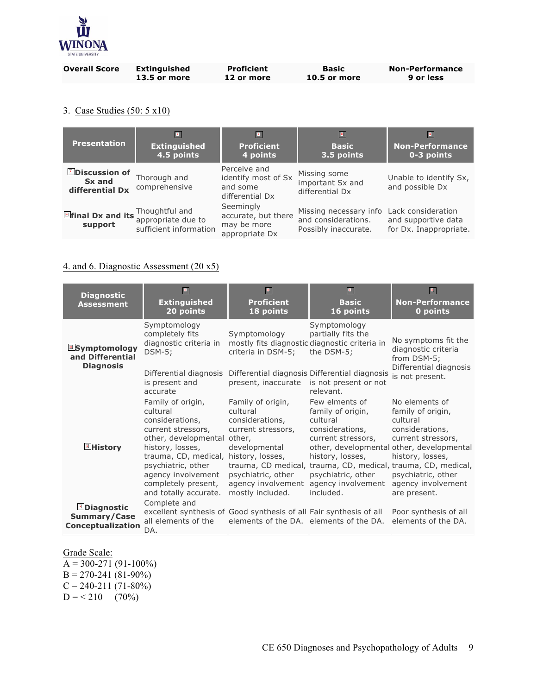

| <b>Overall Score</b> | <b>Extinguished</b> | <b>Proficient</b> | Basic        | <b>Non-Performance</b> |
|----------------------|---------------------|-------------------|--------------|------------------------|
|                      | <b>13.5 or more</b> | 12 or more        | 10.5 or more | 9 or less              |

# 3. Case Studies (50: 5 x10)

| <b>Presentation</b>                               | $\blacksquare$<br><b>Extinguished</b><br>4.5 points            | <b>Proficient</b><br>4 points                                      | $\blacksquare$<br><b>Basic</b><br>3.5 points                                             | $\blacksquare$<br><b>Non-Performance</b><br>0-3 points |
|---------------------------------------------------|----------------------------------------------------------------|--------------------------------------------------------------------|------------------------------------------------------------------------------------------|--------------------------------------------------------|
| <b>Discussion of</b><br>Sx and<br>differential Dx | Thorough and<br>comprehensive                                  | Perceive and<br>identify most of Sx<br>and some<br>differential Dx | Missing some<br>important Sx and<br>differential Dx                                      | Unable to identify Sx,<br>and possible Dx              |
| $\blacksquare$ final Dx and its<br>support        | Thoughtful and<br>appropriate due to<br>sufficient information | Seemingly<br>accurate, but there<br>may be more<br>appropriate Dx  | Missing necessary info Lack consideration<br>and considerations.<br>Possibly inaccurate. | and supportive data<br>for Dx. Inappropriate.          |

# 4. and 6. Diagnostic Assessment (20 x5)

| <b>Diagnostic</b><br><b>Assessment</b>                      | $\boxed{\mathbf{x}}$<br><b>Extinguished</b><br>20 points                                                                                                                                                                                                       | $\blacksquare$<br><b>Proficient</b><br>18 points                                                                                                                               | $\boxed{\mathbf{z}}$<br><b>Basic</b><br>16 points                                                                                                                     | $\blacksquare$<br><b>Non-Performance</b><br>0 points                                                                                                                                                                                                               |
|-------------------------------------------------------------|----------------------------------------------------------------------------------------------------------------------------------------------------------------------------------------------------------------------------------------------------------------|--------------------------------------------------------------------------------------------------------------------------------------------------------------------------------|-----------------------------------------------------------------------------------------------------------------------------------------------------------------------|--------------------------------------------------------------------------------------------------------------------------------------------------------------------------------------------------------------------------------------------------------------------|
| <b>Symptomology</b><br>and Differential<br><b>Diagnosis</b> | Symptomology<br>completely fits<br>diagnostic criteria in<br>$DSM-5$ ;<br>Differential diagnosis<br>is present and<br>accurate                                                                                                                                 | Symptomology<br>mostly fits diagnostic diagnostic criteria in<br>criteria in DSM-5;<br>present, inaccurate                                                                     | Symptomology<br>partially fits the<br>the DSM-5;<br>Differential diagnosis Differential diagnosis<br>is not present or not<br>relevant.                               | No symptoms fit the<br>diagnostic criteria<br>from DSM-5;<br>Differential diagnosis<br>is not present.                                                                                                                                                             |
| ⊠History                                                    | Family of origin,<br>cultural<br>considerations,<br>current stressors,<br>other, developmental other,<br>history, losses,<br>trauma, CD, medical, history, losses,<br>psychiatric, other<br>agency involvement<br>completely present,<br>and totally accurate. | Family of origin,<br>cultural<br>considerations,<br>current stressors,<br>developmental<br>trauma, CD medical,<br>psychiatric, other<br>agency involvement<br>mostly included. | Few elments of<br>family of origin,<br>cultural<br>considerations,<br>current stressors,<br>history, losses,<br>psychiatric, other<br>agency involvement<br>included. | No elements of<br>family of origin,<br>cultural<br>considerations,<br>current stressors,<br>other, developmental other, developmental<br>history, losses,<br>trauma, CD, medical, trauma, CD, medical,<br>psychiatric, other<br>agency involvement<br>are present. |
| Diagnostic<br>Summary/Case<br>Conceptualization             | Complete and<br>excellent synthesis of Good synthesis of all Fair synthesis of all<br>all elements of the<br>DA.                                                                                                                                               | elements of the DA. elements of the DA.                                                                                                                                        |                                                                                                                                                                       | Poor synthesis of all<br>elements of the DA.                                                                                                                                                                                                                       |

Grade Scale:

 $\overline{A} = 300-271(91-100\%)$  $B = 270 - 241(81 - 90\%)$  $C = 240 - 211(71 - 80\%)$  $D = 210$  (70%)